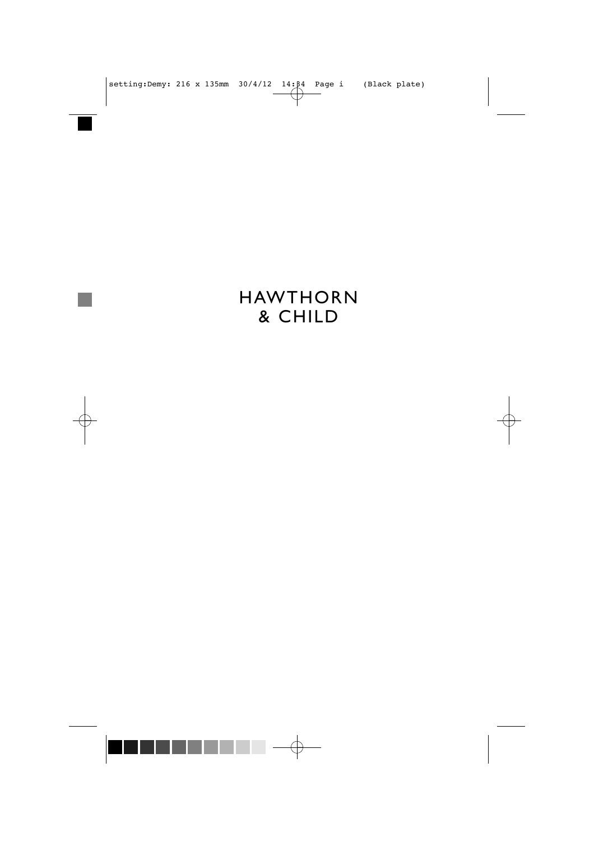setting:Demy: 216 x 135mm 30/4/12 14:84 Page i (Black plate)

# HAWTHORN & CHILD

 $\parallel$ 

. . . .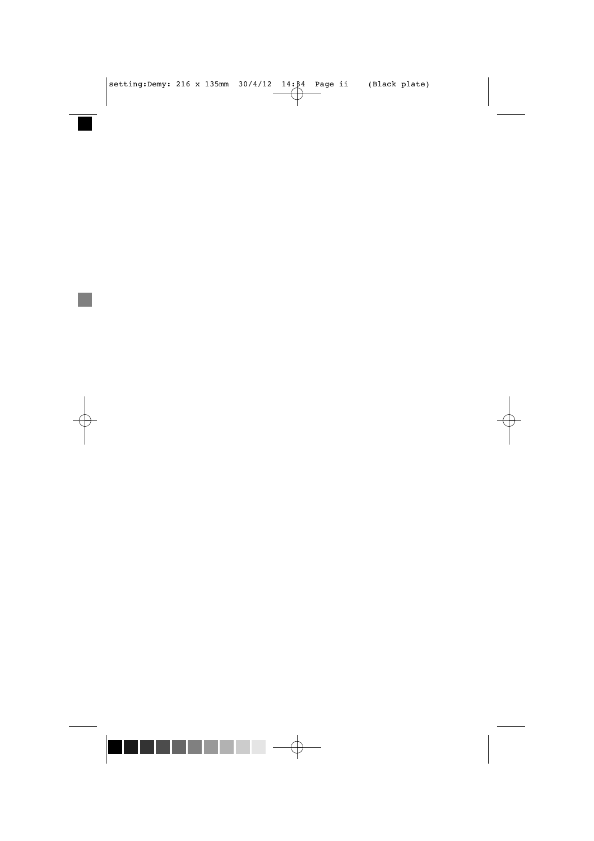setting:Demy: 216 x 135mm  $30/4/12$  14:34 Page ii (Black plate)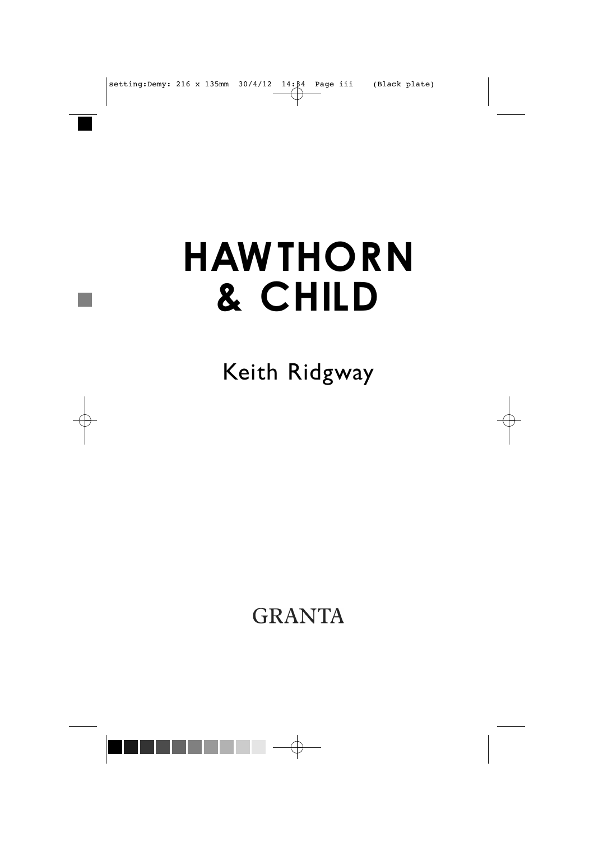setting:Demy: 216 x 135mm  $30/4/12$  14: $\beta$ 4 Page iii (Black plate)

# **HAWTHORN & CHILD**

Keith Ridgway

**GRANTA** 

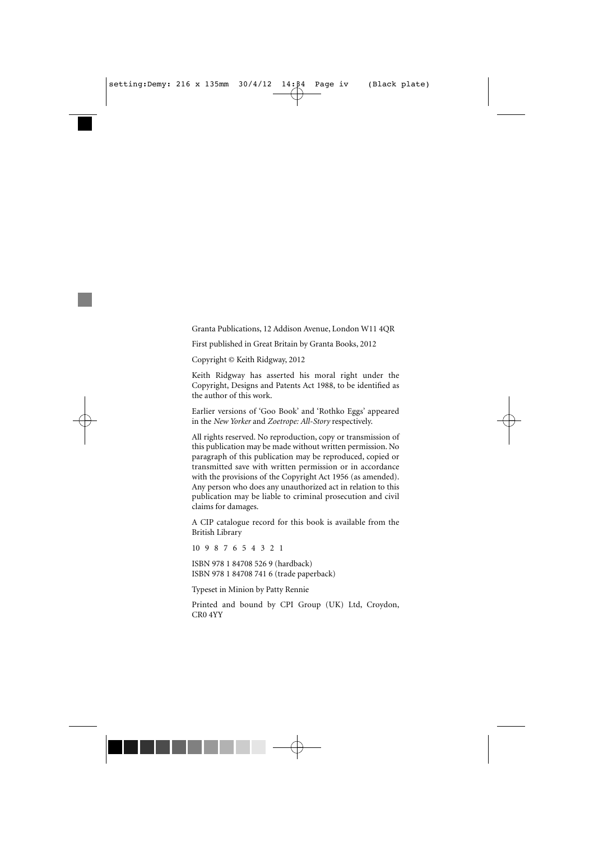Granta Publications, 12 Addison Avenue, London W11 4QR

First published in Great Britain by Granta Books, 2012

Copyright © Keith Ridgway, 2012

Keith Ridgway has asserted his moral right under the Copyright, Designs and Patents Act 1988, to be identified as the author of this work.

Earlier versions of 'Goo Book' and 'Rothko Eggs' appeared in the *New Yorker* and *Zoetrope: All-Story* respectively.

All rights reserved. No reproduction, copy or transmission of this publication may be made without written permission. No paragraph of this publication may be reproduced, copied or transmitted save with written permission or in accordance with the provisions of the Copyright Act 1956 (as amended). Any person who does any unauthorized act in relation to this publication may be liable to criminal prosecution and civil claims for damages.

A CIP catalogue record for this book is available from the British Library

10 9 8 7 6 5 4 3 2 1

ISBN 978 1 84708 526 9 (hardback) ISBN 978 1 84708 741 6 (trade paperback)

Typeset in Minion by Patty Rennie

Printed and bound by CPI Group (UK) Ltd, Croydon, CR0 4YY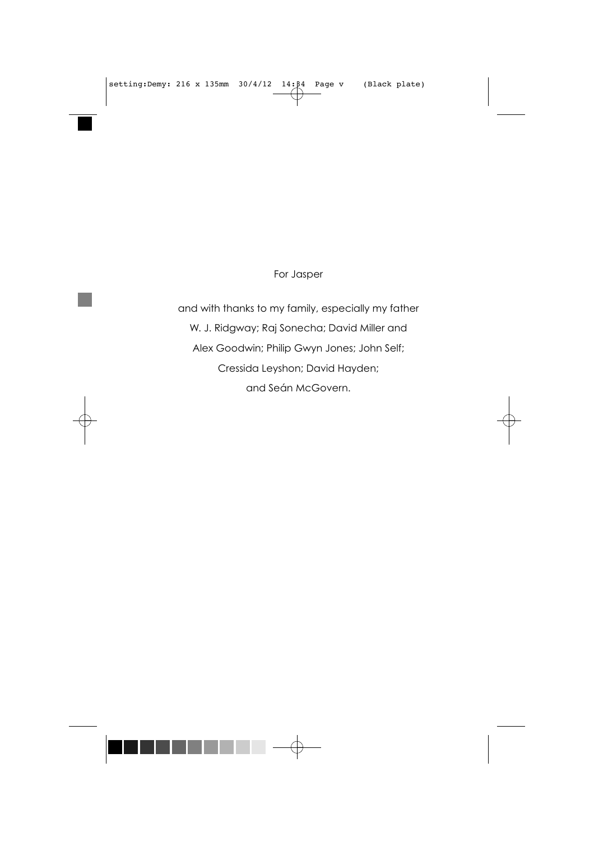setting:Demy: 216 x 135mm  $30/4/12$   $14:34$  Page v (Black plate)

## For Jasper

and with thanks to my family, especially my father W. J. Ridgway; Raj Sonecha; David Miller and Alex Goodwin; Philip Gwyn Jones; John Self; Cressida Leyshon; David Hayden; and Seán McGovern.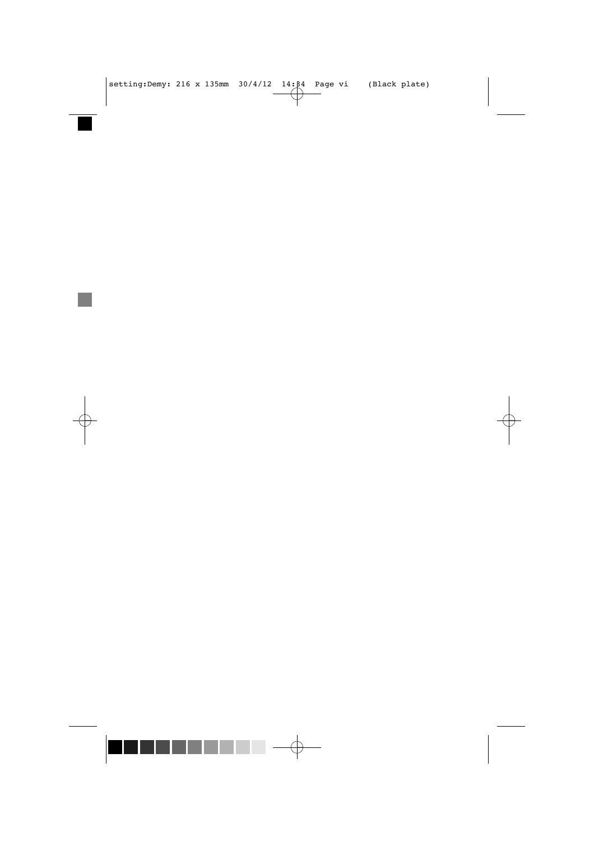setting:Demy: 216 x 135mm  $30/4/12$  14:34 Page vi (Black plate)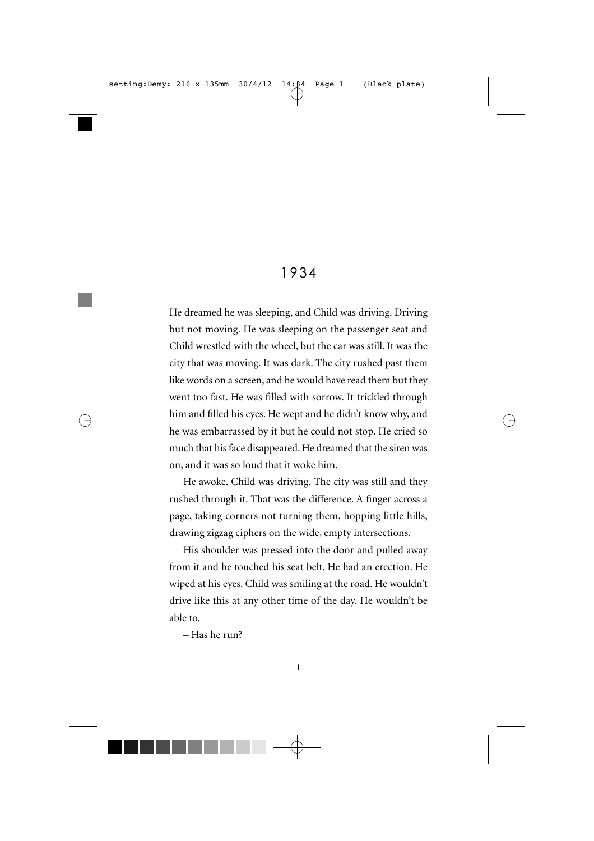## 1934

He dreamed he was sleeping, and Child was driving. Driving but not moving. He was sleeping on the passenger seat and Child wrestled with the wheel, but the car was still. It was the city that was moving. It was dark. The city rushed past them like words on a screen, and he would have read them but they went too fast. He was filled with sorrow. It trickled through him and filled his eyes. He wept and he didn't know why, and he was embarrassed by it but he could not stop. He cried so much that his face disappeared. He dreamed that the siren was on, and it was so loud that it woke him.

He awoke. Child was driving. The city was still and they rushed through it. That was the difference. A finger across a page, taking corners not turning them, hopping little hills, drawing zigzag ciphers on the wide, empty intersections.

His shoulder was pressed into the door and pulled away from it and he touched his seat belt. He had an erection. He wiped at his eyes. Child was smiling at the road. He wouldn't drive like this at any other time of the day. He wouldn't be able to.

1

– Has he run?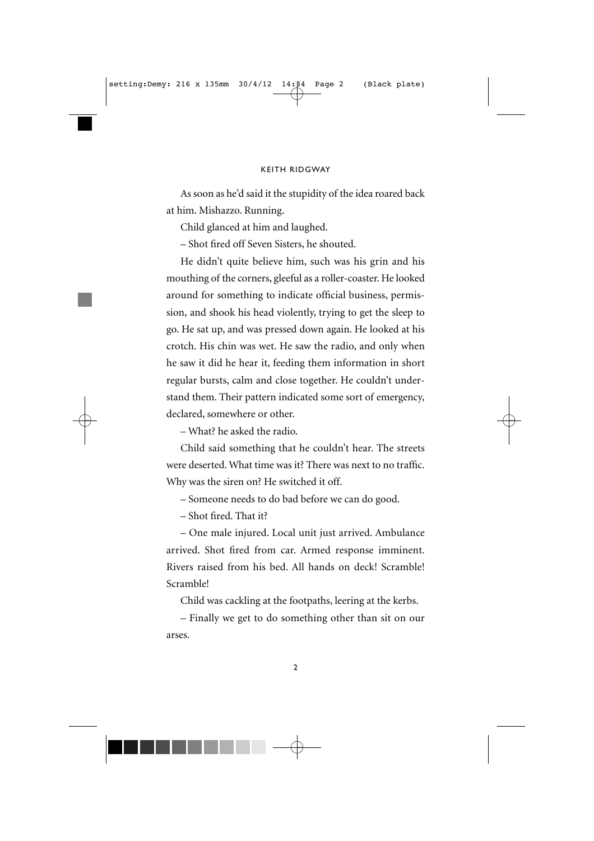As soon as he'd said it the stupidity of the idea roared back at him. Mishazzo. Running.

Child glanced at him and laughed.

– Shot fired off Seven Sisters, he shouted.

He didn't quite believe him, such was his grin and his mouthing of the corners, gleeful as a roller-coaster. He looked around for something to indicate official business, permission, and shook his head violently, trying to get the sleep to go. He sat up, and was pressed down again. He looked at his crotch. His chin was wet. He saw the radio, and only when he saw it did he hear it, feeding them information in short regular bursts, calm and close together. He couldn't understand them. Their pattern indicated some sort of emergency, declared, somewhere or other.

– What? he asked the radio.

Child said something that he couldn't hear. The streets were deserted. What time was it? There was next to no traffic. Why was the siren on? He switched it off.

– Someone needs to do bad before we can do good.

– Shot fired. That it?

– One male injured. Local unit just arrived. Ambulance arrived. Shot fired from car. Armed response imminent. Rivers raised from his bed. All hands on deck! Scramble! Scramble!

Child was cackling at the footpaths, leering at the kerbs.

– Finally we get to do something other than sit on our arses.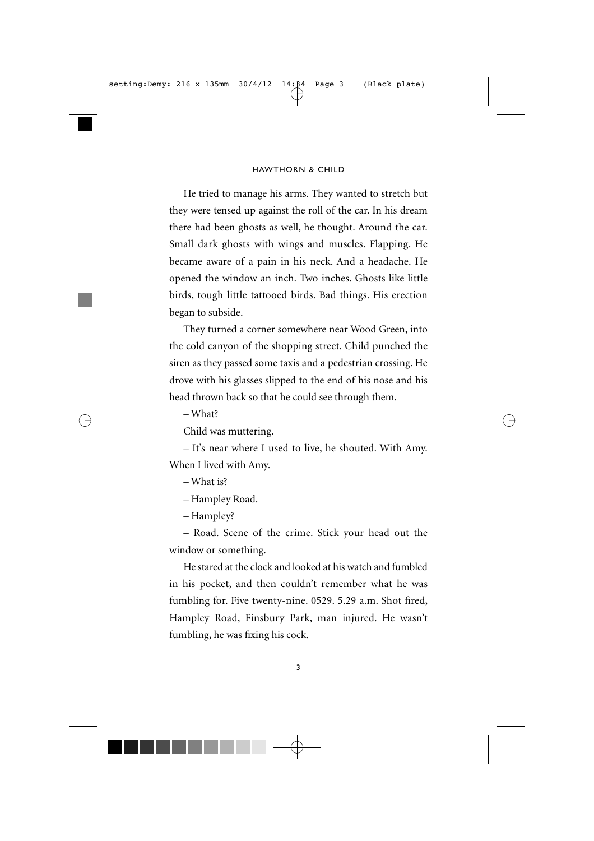He tried to manage his arms. They wanted to stretch but they were tensed up against the roll of the car. In his dream there had been ghosts as well, he thought. Around the car. Small dark ghosts with wings and muscles. Flapping. He became aware of a pain in his neck. And a headache. He opened the window an inch. Two inches. Ghosts like little birds, tough little tattooed birds. Bad things. His erection began to subside.

They turned a corner somewhere near Wood Green, into the cold canyon of the shopping street. Child punched the siren as they passed some taxis and a pedestrian crossing. He drove with his glasses slipped to the end of his nose and his head thrown back so that he could see through them.

– What?

Child was muttering.

– It's near where I used to live, he shouted. With Amy. When I lived with Amy.

– What is?

- Hampley Road.
- Hampley?

– Road. Scene of the crime. Stick your head out the window or something.

He stared at the clock and looked at his watch and fumbled in his pocket, and then couldn't remember what he was fumbling for. Five twenty-nine. 0529. 5.29 a.m. Shot fired, Hampley Road, Finsbury Park, man injured. He wasn't fumbling, he was fixing his cock.

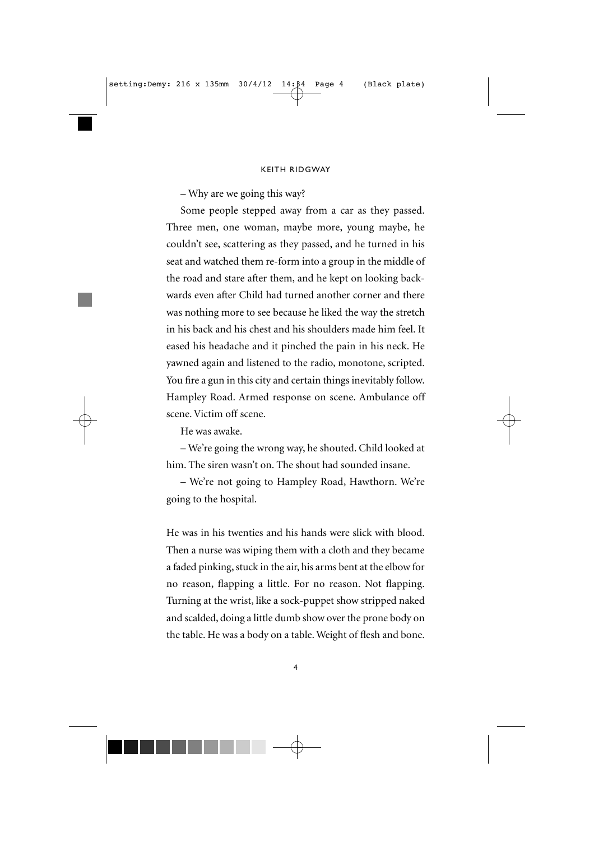– Why are we going this way?

Some people stepped away from a car as they passed. Three men, one woman, maybe more, young maybe, he couldn't see, scattering as they passed, and he turned in his seat and watched them re-form into a group in the middle of the road and stare after them, and he kept on looking backwards even after Child had turned another corner and there was nothing more to see because he liked the way the stretch in his back and his chest and his shoulders made him feel. It eased his headache and it pinched the pain in his neck. He yawned again and listened to the radio, monotone, scripted. You fire a gun in this city and certain things inevitably follow. Hampley Road. Armed response on scene. Ambulance off scene. Victim off scene.

He was awake.

– We're going the wrong way, he shouted. Child looked at him. The siren wasn't on. The shout had sounded insane.

– We're not going to Hampley Road, Hawthorn. We're going to the hospital.

He was in his twenties and his hands were slick with blood. Then a nurse was wiping them with a cloth and they became a faded pinking, stuck in the air, his arms bent at the elbow for no reason, flapping a little. For no reason. Not flapping. Turning at the wrist, like a sock-puppet show stripped naked and scalded, doing a little dumb show over the prone body on the table. He was a body on a table. Weight of flesh and bone.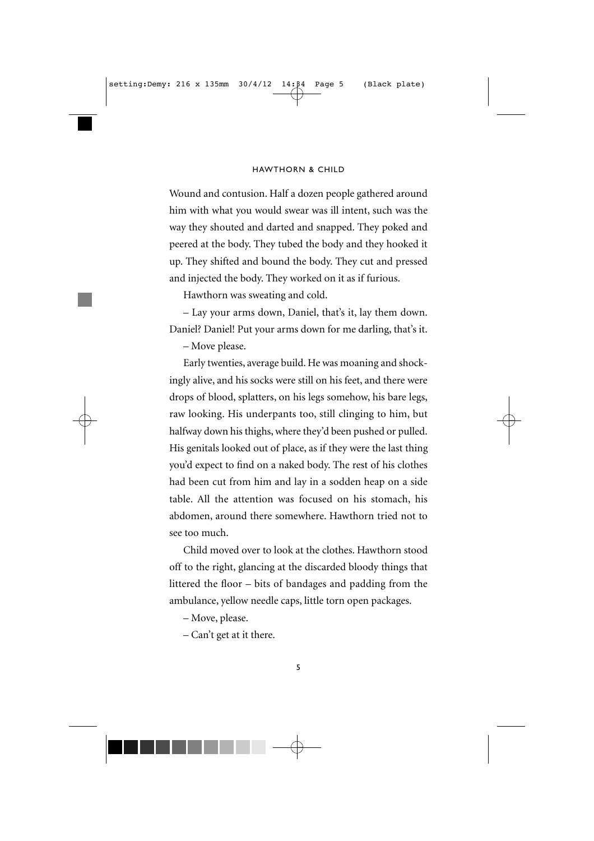Wound and contusion. Half a dozen people gathered around him with what you would swear was ill intent, such was the way they shouted and darted and snapped. They poked and peered at the body. They tubed the body and they hooked it up. They shifted and bound the body. They cut and pressed and injected the body. They worked on it as if furious.

Hawthorn was sweating and cold.

– Lay your arms down, Daniel, that's it, lay them down. Daniel? Daniel! Put your arms down for me darling, that's it.

– Move please.

Early twenties, average build. He was moaning and shockingly alive, and his socks were still on his feet, and there were drops of blood, splatters, on his legs somehow, his bare legs, raw looking. His underpants too, still clinging to him, but halfway down his thighs, where they'd been pushed or pulled. His genitals looked out of place, as if they were the last thing you'd expect to find on a naked body. The rest of his clothes had been cut from him and lay in a sodden heap on a side table. All the attention was focused on his stomach, his abdomen, around there somewhere. Hawthorn tried not to see too much.

Child moved over to look at the clothes. Hawthorn stood off to the right, glancing at the discarded bloody things that littered the floor – bits of bandages and padding from the ambulance, yellow needle caps, little torn open packages.

– Move, please.

– Can't get at it there.

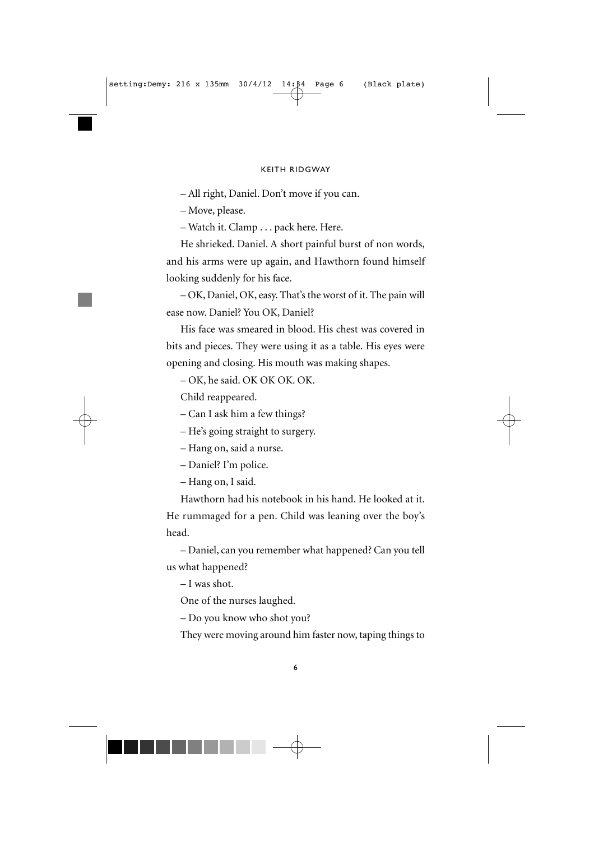– All right, Daniel. Don't move if you can.

– Move, please.

– Watch it. Clamp . . . pack here. Here.

He shrieked. Daniel. A short painful burst of non words, and his arms were up again, and Hawthorn found himself looking suddenly for his face.

– OK, Daniel, OK, easy. That's the worst of it. The pain will ease now. Daniel? You OK, Daniel?

His face was smeared in blood. His chest was covered in bits and pieces. They were using it as a table. His eyes were opening and closing. His mouth was making shapes.

– OK, he said. OK OK OK. OK.

Child reappeared.

– Can I ask him a few things?

– He's going straight to surgery.

– Hang on, said a nurse.

– Daniel? I'm police.

– Hang on, I said.

Hawthorn had his notebook in his hand. He looked at it. He rummaged for a pen. Child was leaning over the boy's head.

– Daniel, can you remember what happened? Can you tell us what happened?

– I was shot.

One of the nurses laughed.

– Do you know who shot you?

They were moving around him faster now, taping things to

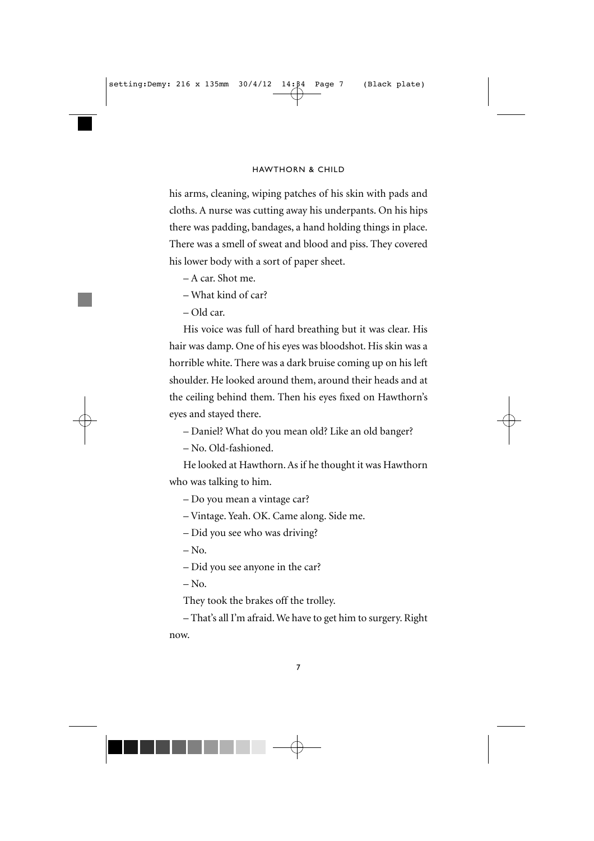his arms, cleaning, wiping patches of his skin with pads and cloths. A nurse was cutting away his underpants. On his hips there was padding, bandages, a hand holding things in place. There was a smell of sweat and blood and piss. They covered his lower body with a sort of paper sheet.

- A car. Shot me.
- What kind of car?
- Old car.

His voice was full of hard breathing but it was clear. His hair was damp. One of his eyes was bloodshot. His skin was a horrible white. There was a dark bruise coming up on his left shoulder. He looked around them, around their heads and at the ceiling behind them. Then his eyes fixed on Hawthorn's eyes and stayed there.

– Daniel? What do you mean old? Like an old banger?

– No. Old-fashioned.

He looked at Hawthorn. As if he thought it was Hawthorn who was talking to him.

– Do you mean a vintage car?

– Vintage. Yeah. OK. Came along. Side me.

– Did you see who was driving?

 $-$  No.

– Did you see anyone in the car?

 $-$  No.

They took the brakes off the trolley.

– That's all I'm afraid. We have to get him to surgery. Right now.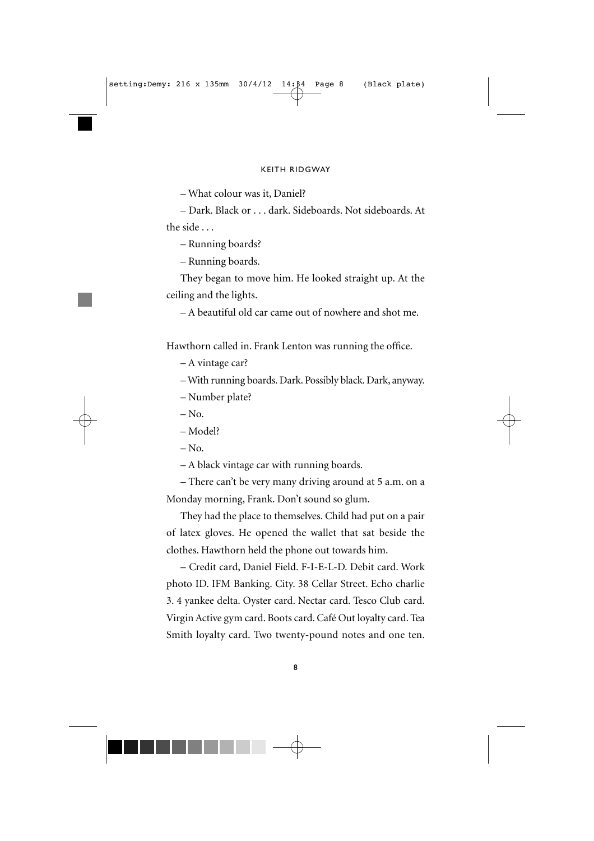– What colour was it, Daniel?

– Dark. Black or . . . dark. Sideboards. Not sideboards. At the side . . .

– Running boards?

– Running boards.

They began to move him. He looked straight up. At the ceiling and the lights.

– A beautiful old car came out of nowhere and shot me.

Hawthorn called in. Frank Lenton was running the office.

– A vintage car?

– With running boards. Dark. Possibly black. Dark, anyway.

– Number plate?

 $-$  No.

– Model?

 $-$  No.

– A black vintage car with running boards.

– There can't be very many driving around at 5 a.m. on a Monday morning, Frank. Don't sound so glum.

They had the place to themselves. Child had put on a pair of latex gloves. He opened the wallet that sat beside the clothes. Hawthorn held the phone out towards him.

– Credit card, Daniel Field. F-I-E-L-D. Debit card. Work photo ID. IFM Banking. City. 38 Cellar Street. Echo charlie 3. 4 yankee delta. Oyster card. Nectar card. Tesco Club card. Virgin Active gym card. Boots card. Café Out loyalty card. Tea Smith loyalty card. Two twenty-pound notes and one ten.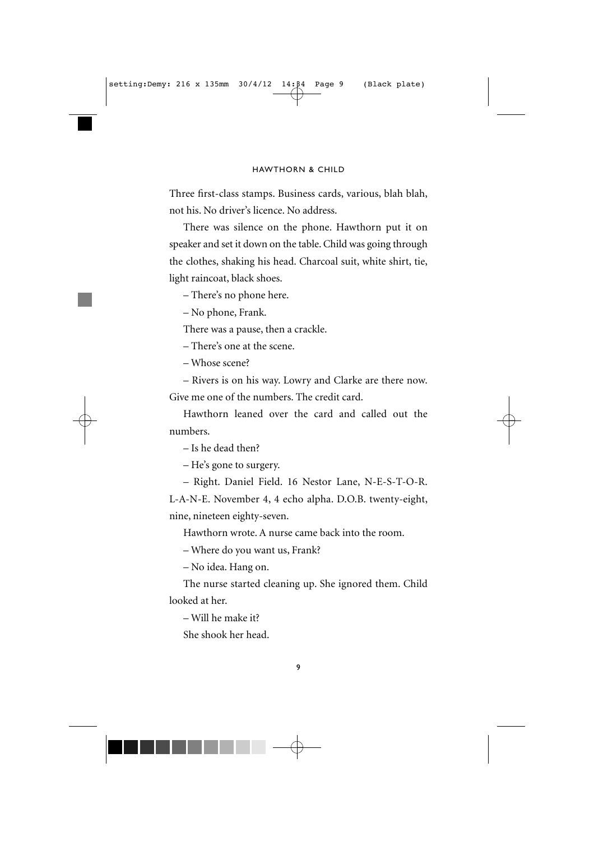Three first-class stamps. Business cards, various, blah blah, not his. No driver's licence. No address.

There was silence on the phone. Hawthorn put it on speaker and set it down on the table. Child was going through the clothes, shaking his head. Charcoal suit, white shirt, tie, light raincoat, black shoes.

– There's no phone here.

– No phone, Frank.

There was a pause, then a crackle.

– There's one at the scene.

– Whose scene?

– Rivers is on his way. Lowry and Clarke are there now.

Give me one of the numbers. The credit card.

Hawthorn leaned over the card and called out the numbers.

– Is he dead then?

– He's gone to surgery.

– Right. Daniel Field. 16 Nestor Lane, N-E-S-T-O-R.

L-A-N-E. November 4, 4 echo alpha. D.O.B. twenty-eight, nine, nineteen eighty-seven.

Hawthorn wrote. A nurse came back into the room.

– Where do you want us, Frank?

– No idea. Hang on.

The nurse started cleaning up. She ignored them. Child looked at her.

– Will he make it?

She shook her head.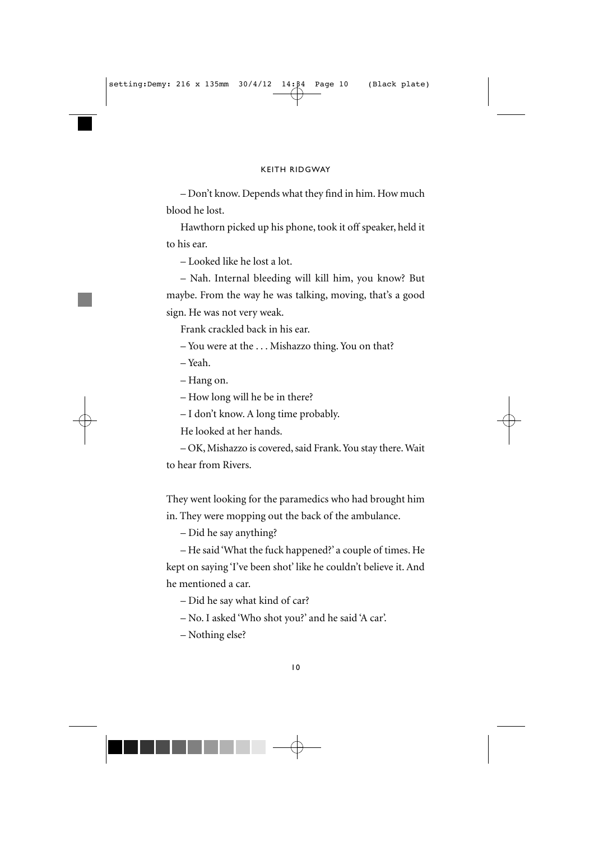– Don't know. Depends what they find in him. How much blood he lost.

Hawthorn picked up his phone, took it off speaker, held it to his ear.

– Looked like he lost a lot.

– Nah. Internal bleeding will kill him, you know? But maybe. From the way he was talking, moving, that's a good sign. He was not very weak.

Frank crackled back in his ear.

– You were at the . . . Mishazzo thing. You on that?

– Yeah.

– Hang on.

– How long will he be in there?

– I don't know. A long time probably.

He looked at her hands.

– OK, Mishazzo is covered, said Frank. You stay there. Wait to hear from Rivers.

They went looking for the paramedics who had brought him in. They were mopping out the back of the ambulance.

– Did he say anything?

– He said 'What the fuck happened?' a couple of times. He kept on saying 'I've been shot' like he couldn't believe it. And he mentioned a car.

– Did he say what kind of car?

– No. I asked 'Who shot you?' and he said 'A car'.

– Nothing else?

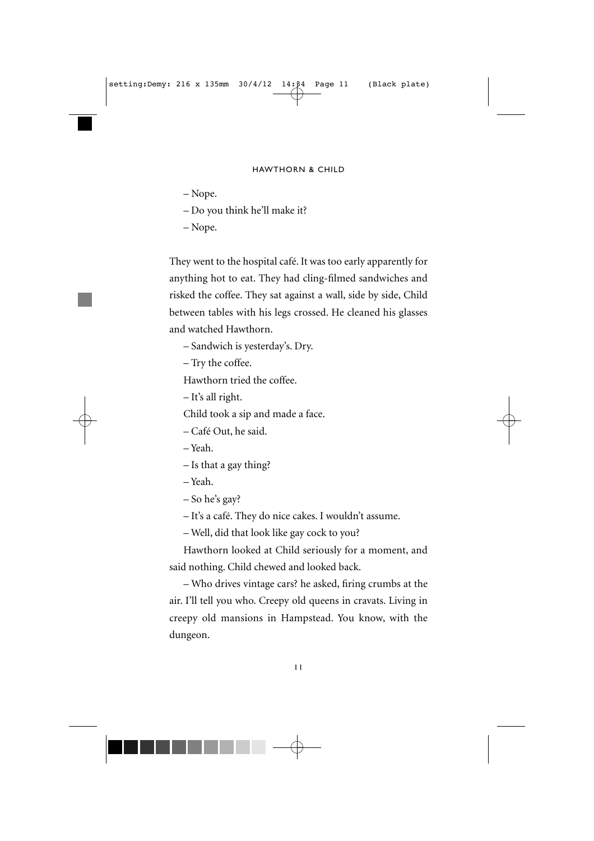- Nope.
- Do you think he'll make it?
- Nope.

They went to the hospital café. It was too early apparently for anything hot to eat. They had cling-filmed sandwiches and risked the coffee. They sat against a wall, side by side, Child between tables with his legs crossed. He cleaned his glasses and watched Hawthorn.

- Sandwich is yesterday's. Dry.
- Try the coffee.

Hawthorn tried the coffee.

– It's all right.

Child took a sip and made a face.

- Café Out, he said.
- Yeah.
- Is that a gay thing?
- Yeah.
- So he's gay?
- It's a café. They do nice cakes. I wouldn't assume.
- Well, did that look like gay cock to you?

Hawthorn looked at Child seriously for a moment, and said nothing. Child chewed and looked back.

– Who drives vintage cars? he asked, firing crumbs at the air. I'll tell you who. Creepy old queens in cravats. Living in creepy old mansions in Hampstead. You know, with the dungeon.

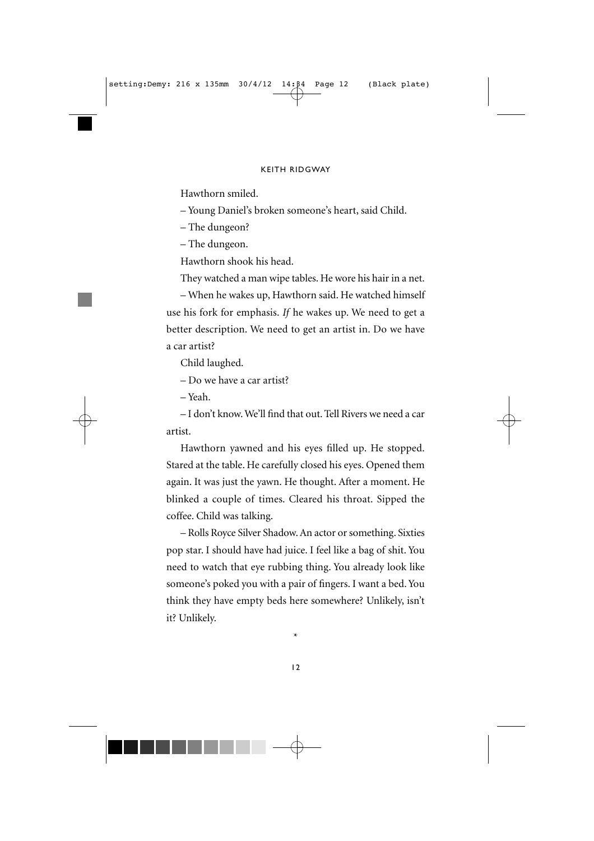Hawthorn smiled.

– Young Daniel's broken someone's heart, said Child.

– The dungeon?

– The dungeon.

Hawthorn shook his head.

They watched a man wipe tables. He wore his hair in a net.

– When he wakes up, Hawthorn said. He watched himself use his fork for emphasis. *If* he wakes up. We need to get a better description. We need to get an artist in. Do we have a car artist?

Child laughed.

– Do we have a car artist?

– Yeah.

– I don't know. We'll find that out. Tell Rivers we need a car artist.

Hawthorn yawned and his eyes filled up. He stopped. Stared at the table. He carefully closed his eyes. Opened them again. It was just the yawn. He thought. After a moment. He blinked a couple of times. Cleared his throat. Sipped the coffee. Child was talking.

– Rolls Royce Silver Shadow. An actor or something. Sixties pop star. I should have had juice. I feel like a bag of shit. You need to watch that eye rubbing thing. You already look like someone's poked you with a pair of fingers. I want a bed. You think they have empty beds here somewhere? Unlikely, isn't it? Unlikely.

\*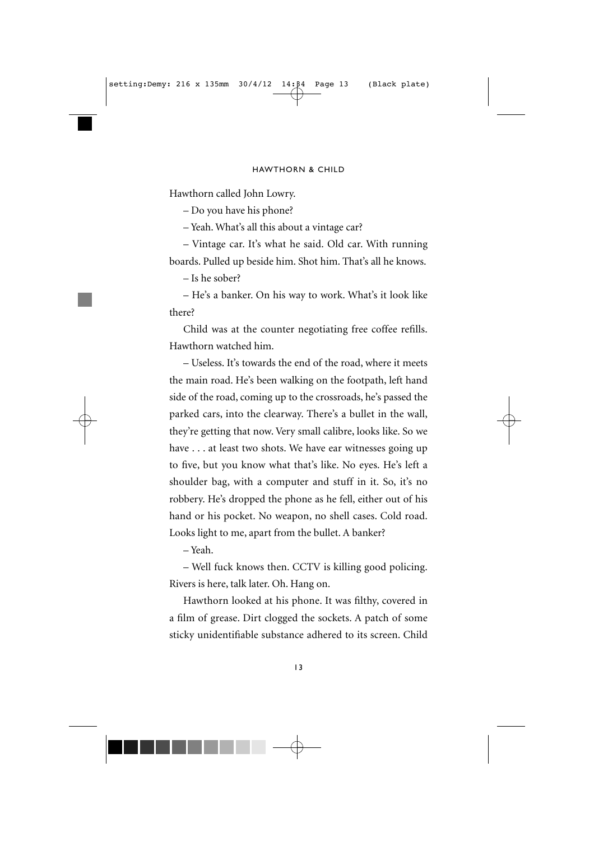Hawthorn called John Lowry.

– Do you have his phone?

– Yeah. What's all this about a vintage car?

– Vintage car. It's what he said. Old car. With running boards. Pulled up beside him. Shot him. That's all he knows.

– Is he sober?

– He's a banker. On his way to work. What's it look like there?

Child was at the counter negotiating free coffee refills. Hawthorn watched him.

– Useless. It's towards the end of the road, where it meets the main road. He's been walking on the footpath, left hand side of the road, coming up to the crossroads, he's passed the parked cars, into the clearway. There's a bullet in the wall, they're getting that now. Very small calibre, looks like. So we have . . . at least two shots. We have ear witnesses going up to five, but you know what that's like. No eyes. He's left a shoulder bag, with a computer and stuff in it. So, it's no robbery. He's dropped the phone as he fell, either out of his hand or his pocket. No weapon, no shell cases. Cold road. Looks light to me, apart from the bullet. A banker?

– Yeah.

– Well fuck knows then. CCTV is killing good policing. Rivers is here, talk later. Oh. Hang on.

Hawthorn looked at his phone. It was filthy, covered in a film of grease. Dirt clogged the sockets. A patch of some sticky unidentifiable substance adhered to its screen. Child

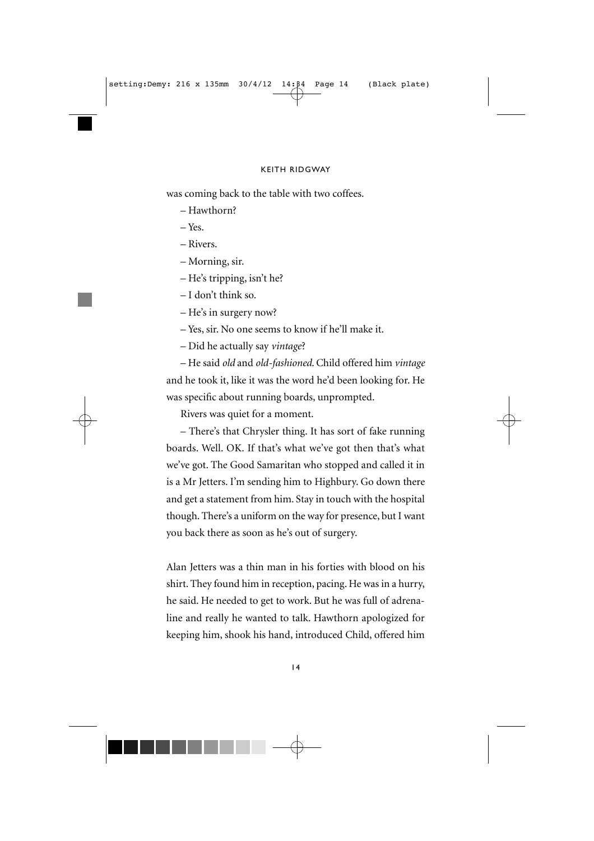was coming back to the table with two coffees.

- Hawthorn?
- Yes.
- Rivers.
- Morning, sir.
- He's tripping, isn't he?
- I don't think so.
- He's in surgery now?
- Yes, sir. No one seems to know if he'll make it.
- Did he actually say *vintage*?

– He said *old* and *old-fashioned*. Child offered him *vintage* and he took it, like it was the word he'd been looking for. He was specific about running boards, unprompted.

Rivers was quiet for a moment.

– There's that Chrysler thing. It has sort of fake running boards. Well. OK. If that's what we've got then that's what we've got. The Good Samaritan who stopped and called it in is a Mr Jetters. I'm sending him to Highbury. Go down there and get a statement from him. Stay in touch with the hospital though. There's a uniform on the way for presence, but I want you back there as soon as he's out of surgery.

Alan Jetters was a thin man in his forties with blood on his shirt. They found him in reception, pacing. He was in a hurry, he said. He needed to get to work. But he was full of adrenaline and really he wanted to talk. Hawthorn apologized for keeping him, shook his hand, introduced Child, offered him

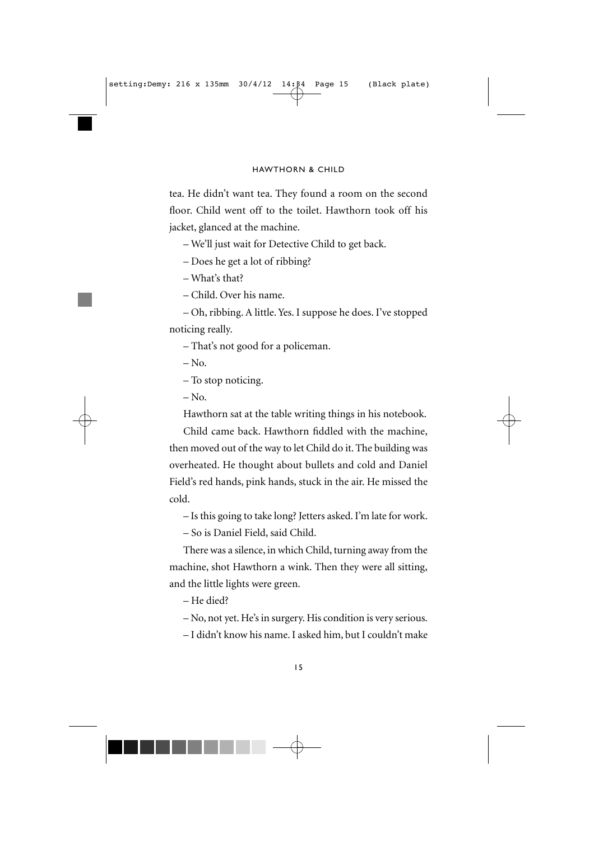tea. He didn't want tea. They found a room on the second floor. Child went off to the toilet. Hawthorn took off his jacket, glanced at the machine.

– We'll just wait for Detective Child to get back.

– Does he get a lot of ribbing?

– What's that?

– Child. Over his name.

– Oh, ribbing. A little. Yes. I suppose he does. I've stopped noticing really.

– That's not good for a policeman.

– No.

– To stop noticing.

– No.

Hawthorn sat at the table writing things in his notebook.

Child came back. Hawthorn fiddled with the machine, then moved out of the way to let Child do it. The building was overheated. He thought about bullets and cold and Daniel Field's red hands, pink hands, stuck in the air. He missed the cold.

– Is this going to take long? Jetters asked. I'm late for work.

– So is Daniel Field, said Child.

There was a silence, in which Child, turning away from the machine, shot Hawthorn a wink. Then they were all sitting, and the little lights were green.

– He died?

– No, not yet. He's in surgery. His condition is very serious.

– I didn't know his name. I asked him, but I couldn't make

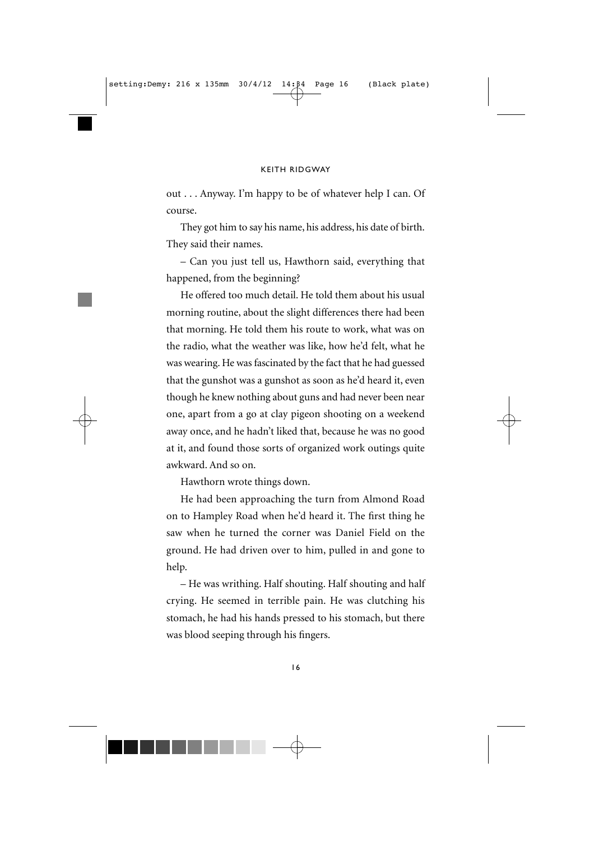out . . . Anyway. I'm happy to be of whatever help I can. Of course.

They got him to say his name, his address, his date of birth. They said their names.

– Can you just tell us, Hawthorn said, everything that happened, from the beginning?

He offered too much detail. He told them about his usual morning routine, about the slight differences there had been that morning. He told them his route to work, what was on the radio, what the weather was like, how he'd felt, what he was wearing. He was fascinated by the fact that he had guessed that the gunshot was a gunshot as soon as he'd heard it, even though he knew nothing about guns and had never been near one, apart from a go at clay pigeon shooting on a weekend away once, and he hadn't liked that, because he was no good at it, and found those sorts of organized work outings quite awkward. And so on.

Hawthorn wrote things down.

He had been approaching the turn from Almond Road on to Hampley Road when he'd heard it. The first thing he saw when he turned the corner was Daniel Field on the ground. He had driven over to him, pulled in and gone to help.

– He was writhing. Half shouting. Half shouting and half crying. He seemed in terrible pain. He was clutching his stomach, he had his hands pressed to his stomach, but there was blood seeping through his fingers.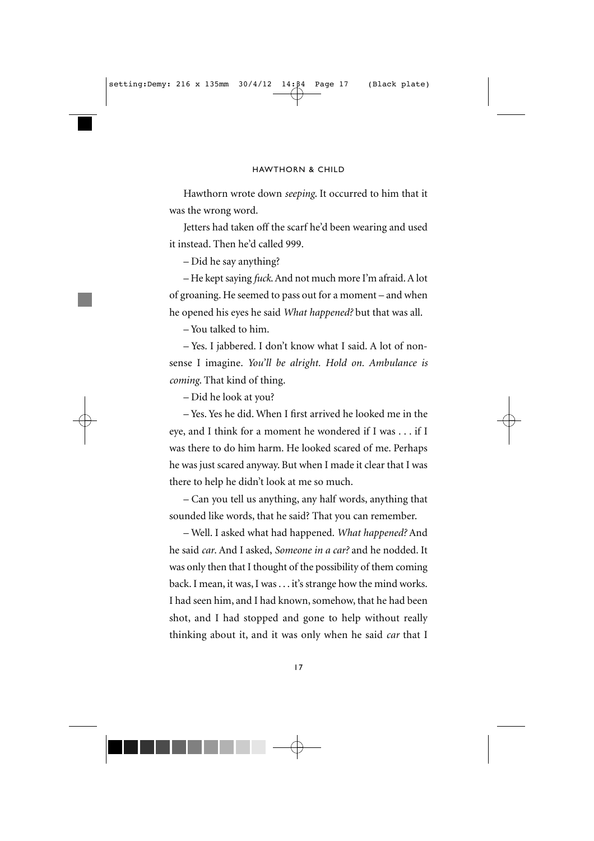Hawthorn wrote down *seeping*. It occurred to him that it was the wrong word.

Jetters had taken off the scarf he'd been wearing and used it instead. Then he'd called 999.

– Did he say anything?

– He kept saying *fuck*. And not much more I'm afraid. A lot of groaning. He seemed to pass out for a moment – and when he opened his eyes he said *What happened?* but that was all.

– You talked to him.

– Yes. I jabbered. I don't know what I said. A lot of non sense I imagine. *You'll be alright. Hold on. Ambulance is coming*. That kind of thing.

– Did he look at you?

– Yes. Yes he did. When I first arrived he looked me in the eye, and I think for a moment he wondered if I was . . . if I was there to do him harm. He looked scared of me. Perhaps he was just scared anyway. But when I made it clear that I was there to help he didn't look at me so much.

– Can you tell us anything, any half words, anything that sounded like words, that he said? That you can remember.

– Well. I asked what had happened. *What happened?* And he said *car*. And I asked, *Someone in a car?* and he nodded. It was only then that I thought of the possibility of them coming back. I mean, it was, I was . . . it's strange how the mind works. I had seen him, and I had known, somehow, that he had been shot, and I had stopped and gone to help without really thinking about it, and it was only when he said *car* that I

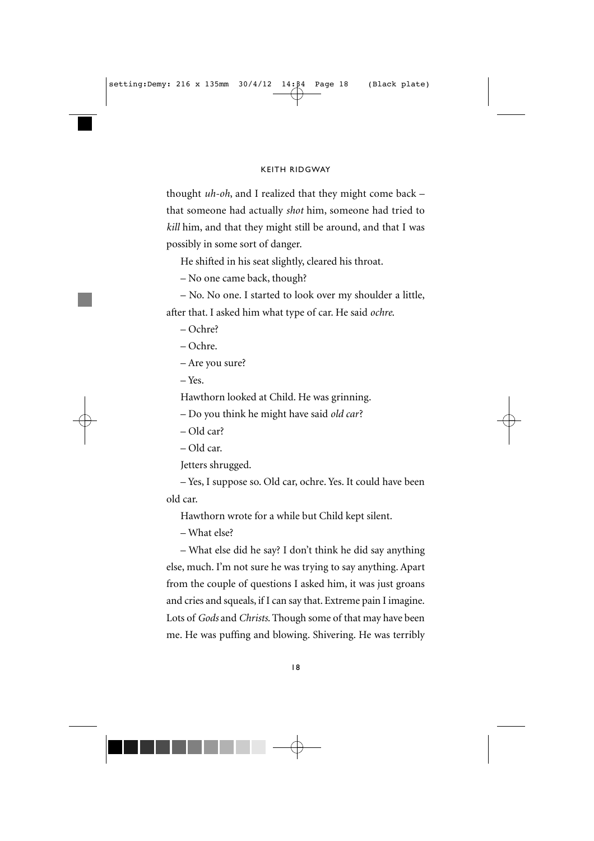thought *uh-oh*, and I realized that they might come back – that someone had actually *shot* him, someone had tried to *kill* him, and that they might still be around, and that I was possibly in some sort of danger.

He shifted in his seat slightly, cleared his throat.

– No one came back, though?

– No. No one. I started to look over my shoulder a little, after that. I asked him what type of car. He said *ochre*.

- Ochre?
- Ochre.
- Are you sure?

– Yes.

Hawthorn looked at Child. He was grinning.

– Do you think he might have said *old car*?

- Old car?
- Old car.

Jetters shrugged.

– Yes, I suppose so. Old car, ochre. Yes. It could have been old car.

Hawthorn wrote for a while but Child kept silent.

– What else?

– What else did he say? I don't think he did say anything else, much. I'm not sure he was trying to say anything. Apart from the couple of questions I asked him, it was just groans and cries and squeals, if I can say that. Extreme pain I imagine. Lots of *Gods* and *Christs*. Though some of that may have been me. He was puffing and blowing. Shivering. He was terribly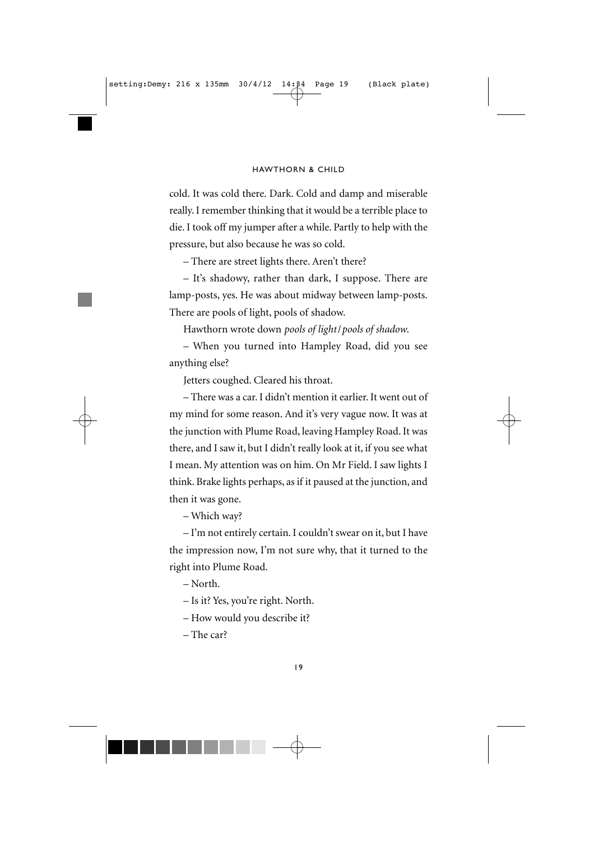cold. It was cold there. Dark. Cold and damp and miserable really. I remember thinking that it would be a terrible place to die. I took off my jumper after a while. Partly to help with the pressure, but also because he was so cold.

– There are street lights there. Aren't there?

– It's shadowy, rather than dark, I suppose. There are lamp-posts, yes. He was about midway between lamp-posts. There are pools of light, pools of shadow.

Hawthorn wrote down *pools of light*/*pools of shadow*.

– When you turned into Hampley Road, did you see anything else?

Jetters coughed. Cleared his throat.

– There was a car. I didn't mention it earlier. It went out of my mind for some reason. And it's very vague now. It was at the junction with Plume Road, leaving Hampley Road. It was there, and I saw it, but I didn't really look at it, if you see what I mean. My attention was on him. On Mr Field. I saw lights I think. Brake lights perhaps, as if it paused at the junction, and then it was gone.

– Which way?

– I'm not entirely certain. I couldn't swear on it, but I have the impression now, I'm not sure why, that it turned to the right into Plume Road.

- North.
- Is it? Yes, you're right. North.
- How would you describe it?
- The car?

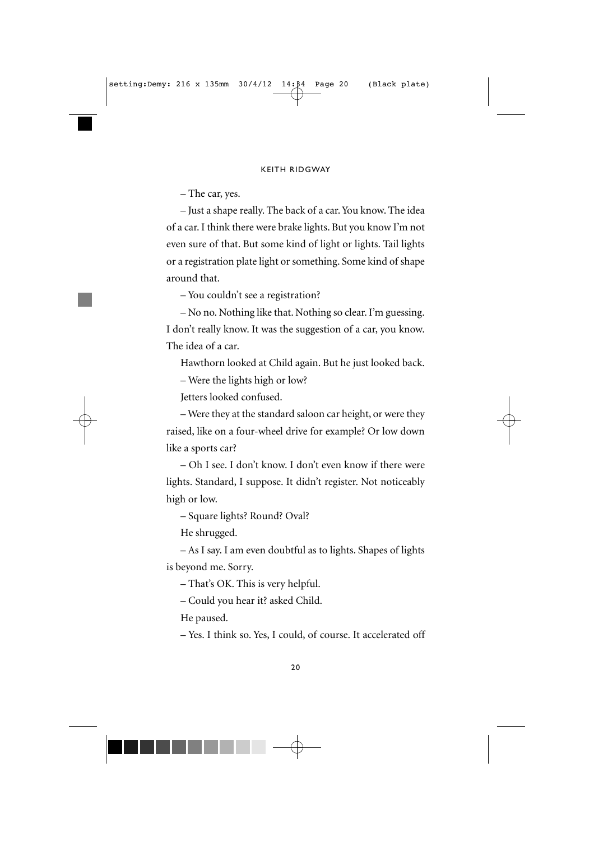– The car, yes.

– Just a shape really. The back of a car. You know. The idea of a car. I think there were brake lights. But you know I'm not even sure of that. But some kind of light or lights. Tail lights or a registration plate light or something. Some kind of shape around that.

– You couldn't see a registration?

– No no. Nothing like that. Nothing so clear. I'm guessing. I don't really know. It was the suggestion of a car, you know. The idea of a car.

Hawthorn looked at Child again. But he just looked back.

– Were the lights high or low?

Jetters looked confused.

– Were they at the standard saloon car height, or were they raised, like on a four-wheel drive for example? Or low down like a sports car?

– Oh I see. I don't know. I don't even know if there were lights. Standard, I suppose. It didn't register. Not noticeably high or low.

– Square lights? Round? Oval?

He shrugged.

– As I say. I am even doubtful as to lights. Shapes of lights is beyond me. Sorry.

– That's OK. This is very helpful.

– Could you hear it? asked Child.

He paused.

– Yes. I think so. Yes, I could, of course. It accelerated off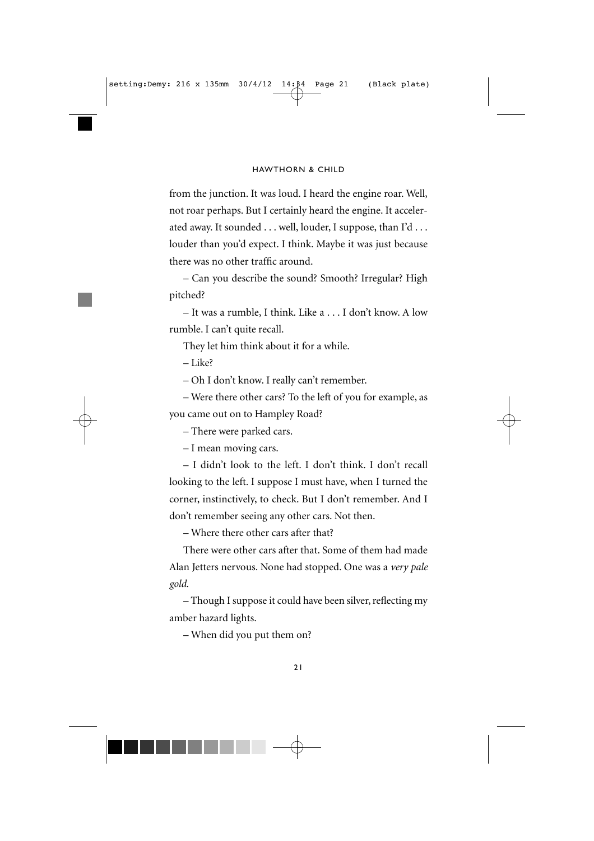from the junction. It was loud. I heard the engine roar. Well, not roar perhaps. But I certainly heard the engine. It accelerated away. It sounded . . . well, louder, I suppose, than I'd . . . louder than you'd expect. I think. Maybe it was just because there was no other traffic around.

– Can you describe the sound? Smooth? Irregular? High pitched?

– It was a rumble, I think. Like a . . . I don't know. A low rumble. I can't quite recall.

They let him think about it for a while.

– Like?

– Oh I don't know. I really can't remember.

– Were there other cars? To the left of you for example, as you came out on to Hampley Road?

– There were parked cars.

– I mean moving cars.

– I didn't look to the left. I don't think. I don't recall looking to the left. I suppose I must have, when I turned the corner, instinctively, to check. But I don't remember. And I don't remember seeing any other cars. Not then.

– Where there other cars after that?

There were other cars after that. Some of them had made Alan Jetters nervous. None had stopped. One was a *very pale gold*.

– Though I suppose it could have been silver, reflecting my amber hazard lights.

– When did you put them on?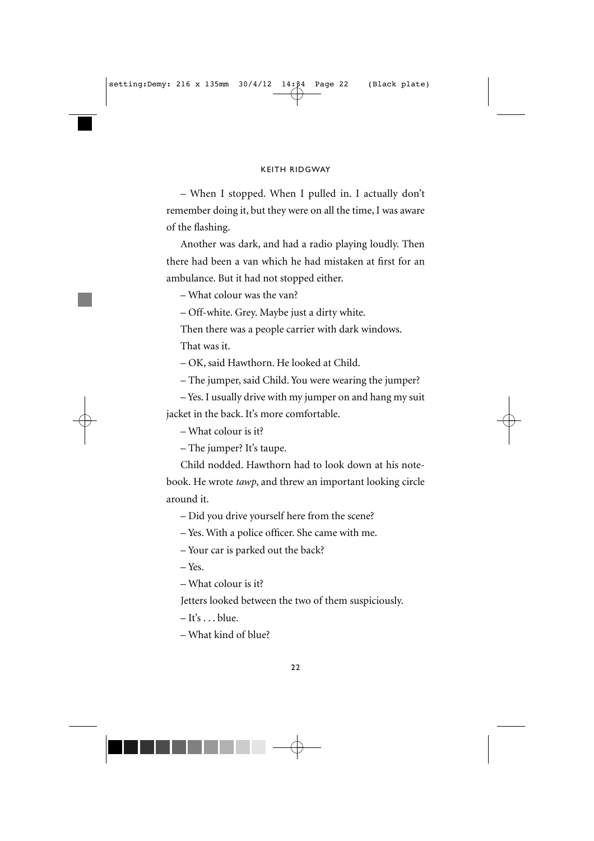– When I stopped. When I pulled in. I actually don't remember doing it, but they were on all the time, I was aware of the flashing.

Another was dark, and had a radio playing loudly. Then there had been a van which he had mistaken at first for an ambulance. But it had not stopped either.

– What colour was the van?

– Off-white. Grey. Maybe just a dirty white.

Then there was a people carrier with dark windows. That was it.

– OK, said Hawthorn. He looked at Child.

– The jumper, said Child. You were wearing the jumper?

– Yes. I usually drive with my jumper on and hang my suit jacket in the back. It's more comfortable.

– What colour is it?

– The jumper? It's taupe.

Child nodded. Hawthorn had to look down at his notebook. He wrote *tawp*, and threw an important looking circle around it.

– Did you drive yourself here from the scene?

– Yes. With a police officer. She came with me.

– Your car is parked out the back?

– Yes.

– What colour is it?

Jetters looked between the two of them suspiciously.

 $-It's...$  blue.

– What kind of blue?

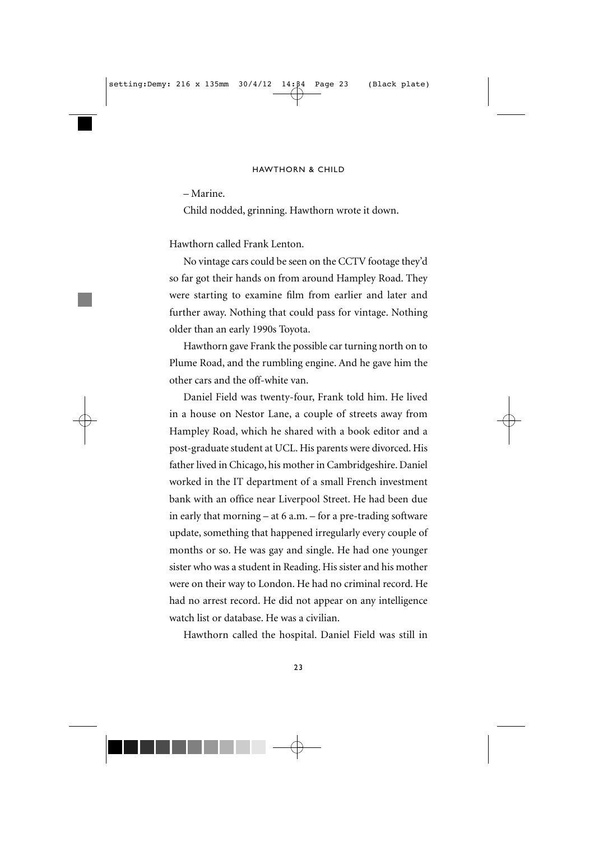– Marine.

Child nodded, grinning. Hawthorn wrote it down.

Hawthorn called Frank Lenton.

No vintage cars could be seen on the CCTV footage they'd so far got their hands on from around Hampley Road. They were starting to examine film from earlier and later and further away. Nothing that could pass for vintage. Nothing older than an early 1990s Toyota.

Hawthorn gave Frank the possible car turning north on to Plume Road, and the rumbling engine. And he gave him the other cars and the off-white van.

Daniel Field was twenty-four, Frank told him. He lived in a house on Nestor Lane, a couple of streets away from Hampley Road, which he shared with a book editor and a post-graduate student at UCL. His parents were divorced. His father lived in Chicago, his mother in Cambridgeshire. Daniel worked in the IT department of a small French investment bank with an office near Liverpool Street. He had been due in early that morning – at 6 a.m. – for a pre-trading software update, something that happened irregularly every couple of months or so. He was gay and single. He had one younger sister who was a student in Reading. His sister and his mother were on their way to London. He had no criminal record. He had no arrest record. He did not appear on any intelligence watch list or database. He was a civilian.

Hawthorn called the hospital. Daniel Field was still in